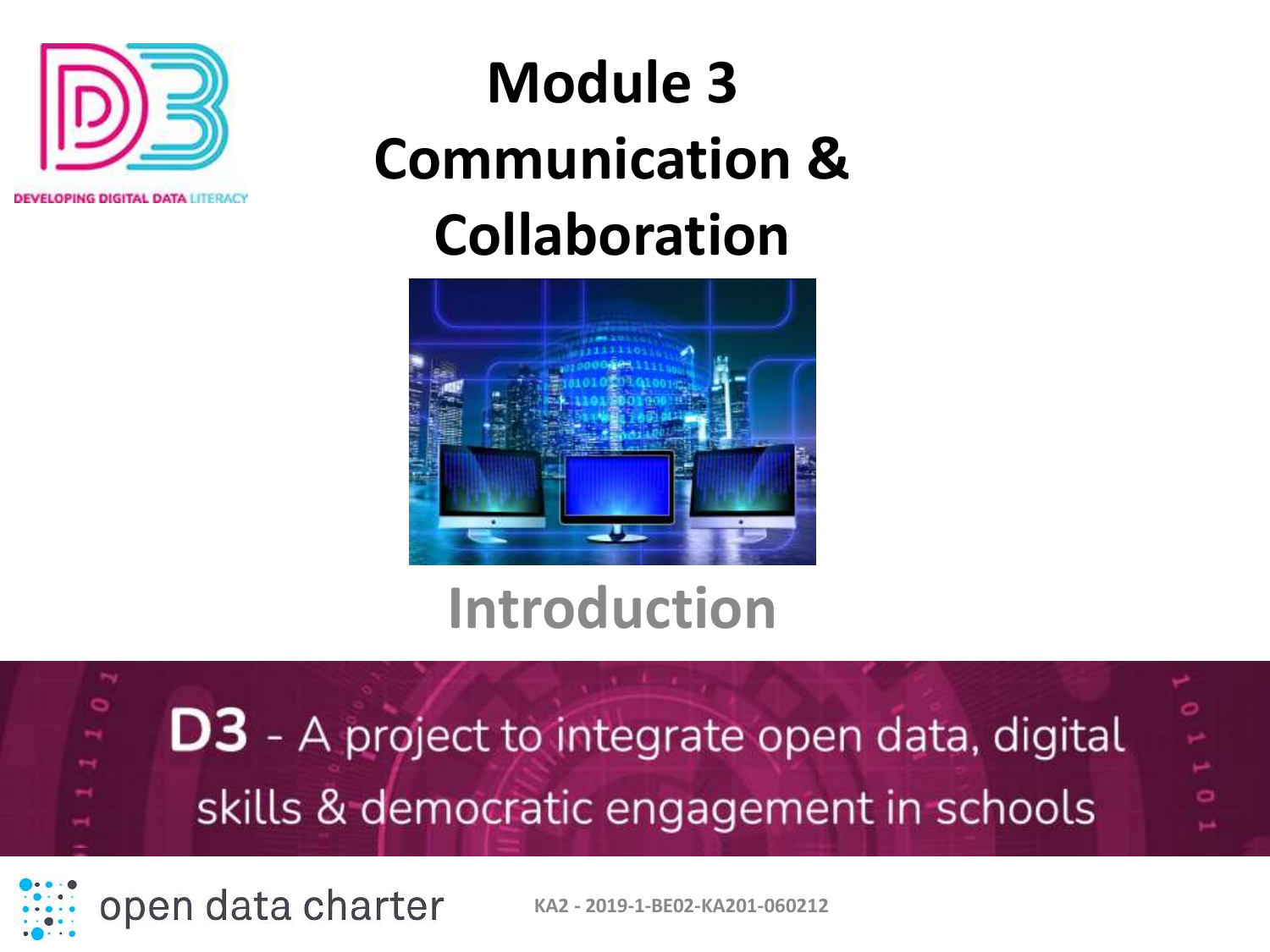

#### **Module 3 Communication & Collaboration**



#### **Introduction**



open data charter

**KA2 - 2019-1-BE02-KA201-060212**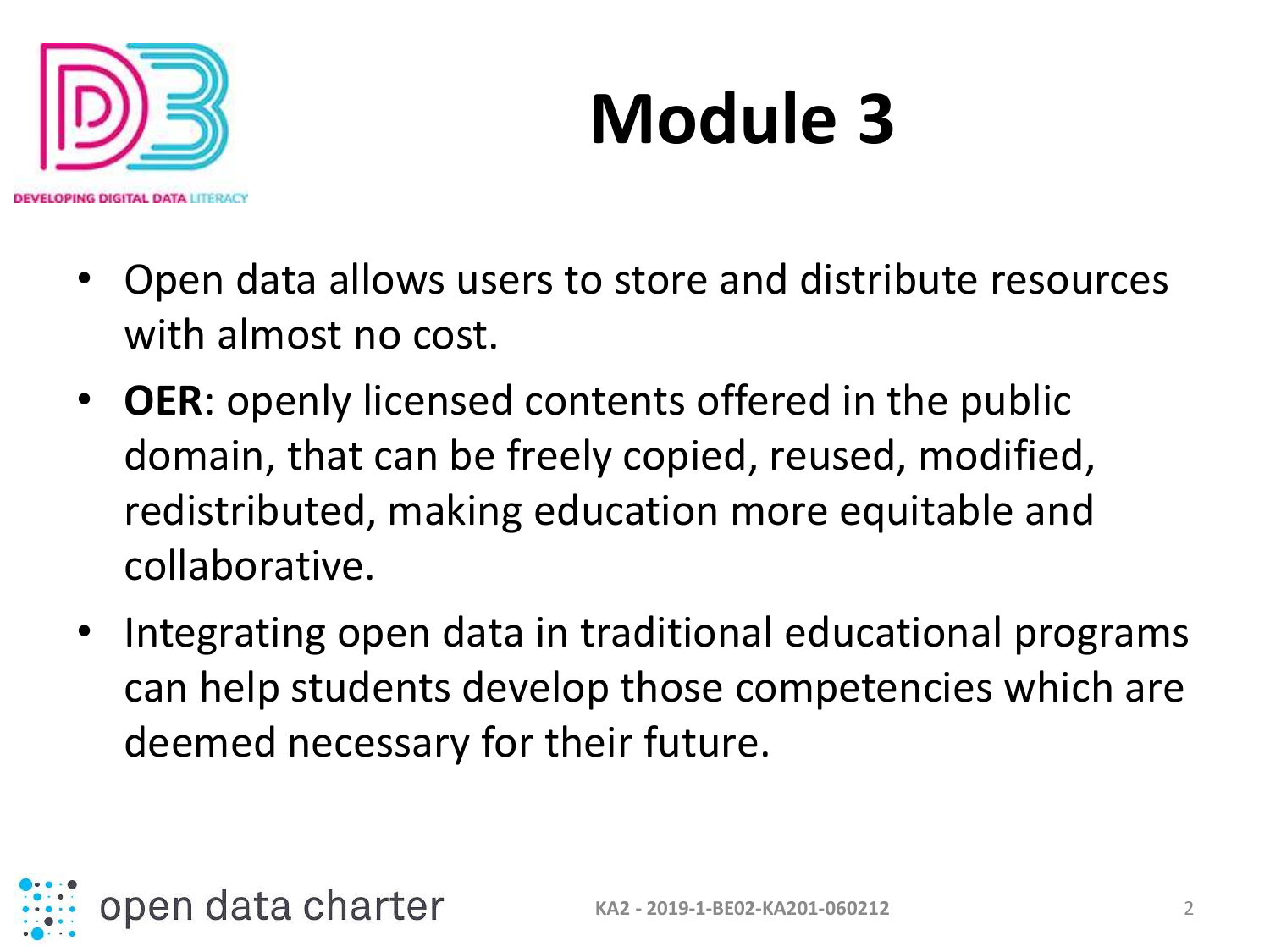

- Open data allows users to store and distribute resources with almost no cost.
- **OER**: openly licensed contents offered in the public domain, that can be freely copied, reused, modified, redistributed, making education more equitable and collaborative.
- Integrating open data in traditional educational programs can help students develop those competencies which are deemed necessary for their future.

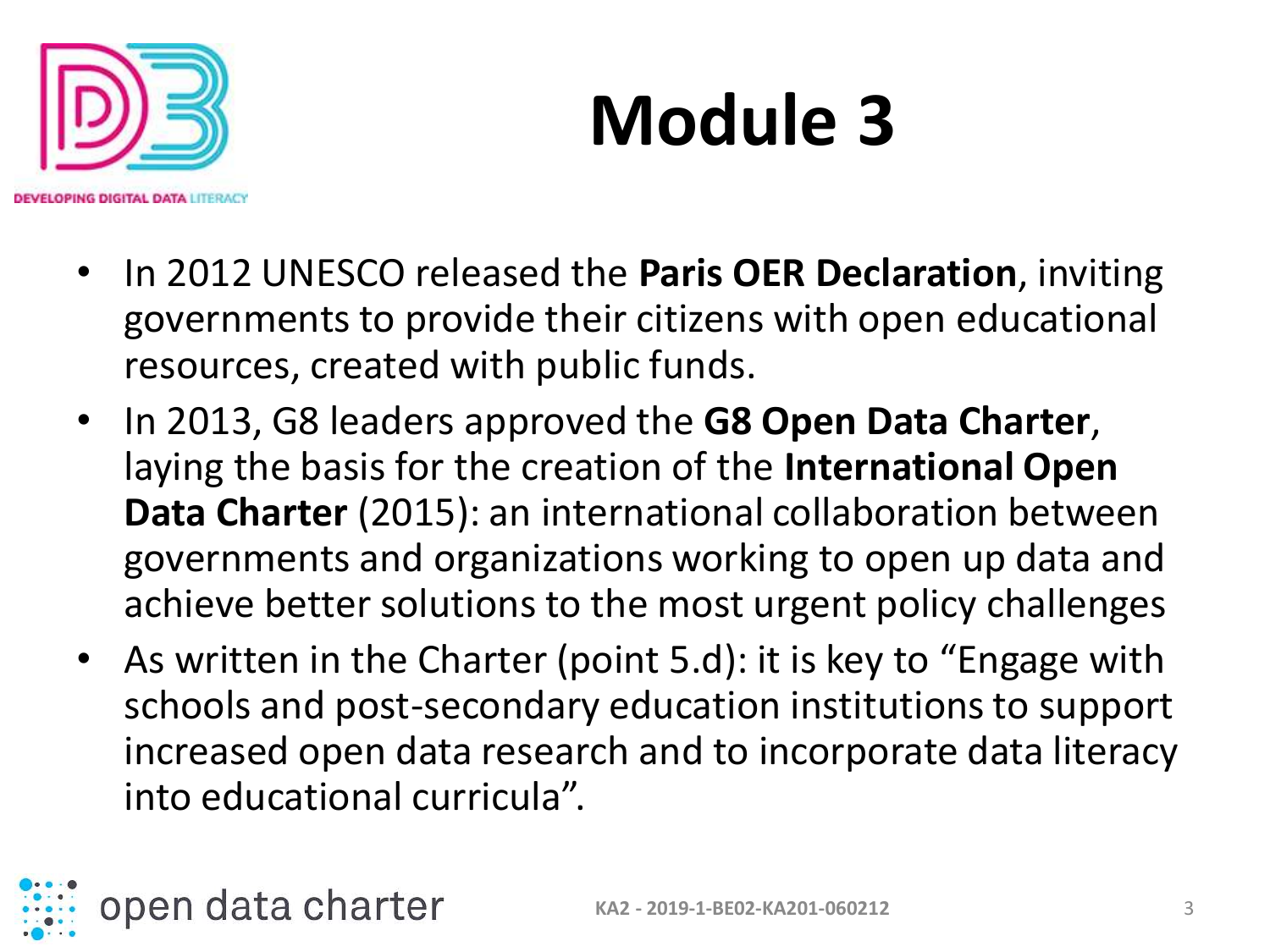

- In 2012 UNESCO released the **Paris OER Declaration**, inviting governments to provide their citizens with open educational resources, created with public funds.
- In 2013, G8 leaders approved the **G8 Open Data Charter**, laying the basis for the creation of the **International Open Data Charter** (2015): an international collaboration between governments and organizations working to open up data and achieve better solutions to the most urgent policy challenges
- As written in the Charter (point 5.d): it is key to "Engage with schools and post-secondary education institutions to support increased open data research and to incorporate data literacy into educational curricula".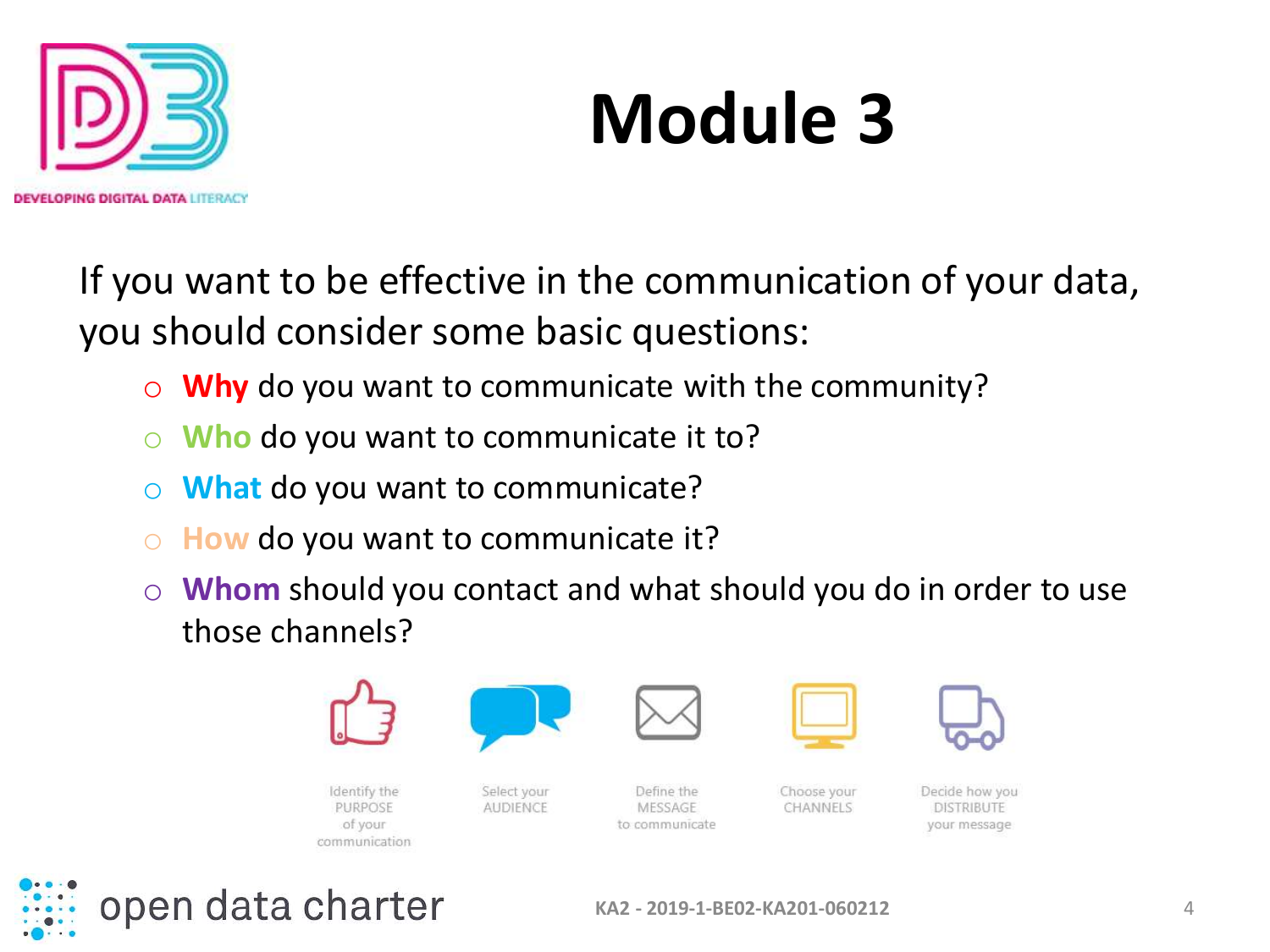

If you want to be effective in the communication of your data, you should consider some basic questions:

- o **Why** do you want to communicate with the community?
- o **Who** do you want to communicate it to?
- o **What** do you want to communicate?
- How do you want to communicate it?
- o **Whom** should you contact and what should you do in order to use those channels?



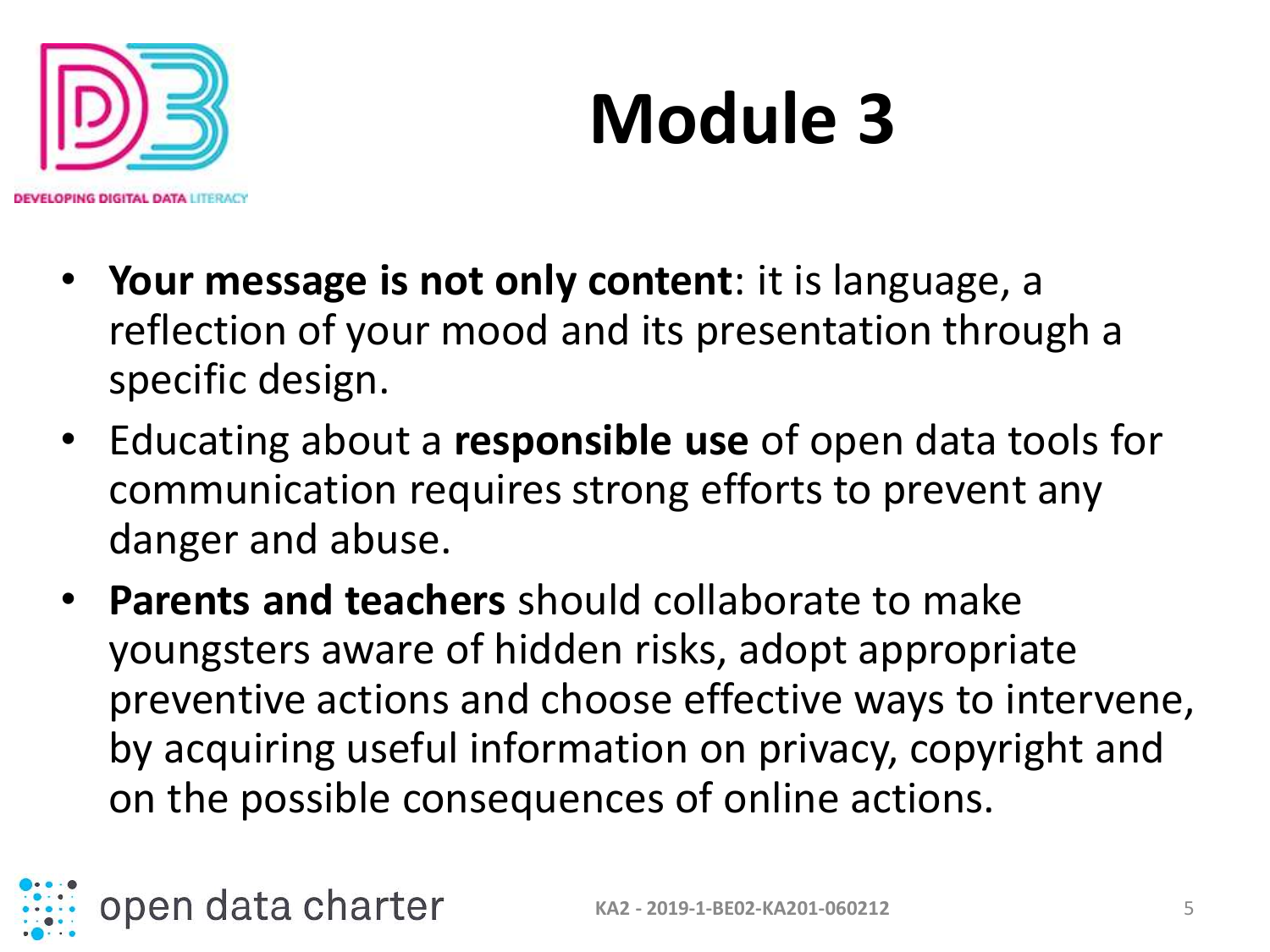

- **Your message is not only content**: it is language, a reflection of your mood and its presentation through a specific design.
- Educating about a **responsible use** of open data tools for communication requires strong efforts to prevent any danger and abuse.
- **Parents and teachers** should collaborate to make youngsters aware of hidden risks, adopt appropriate preventive actions and choose effective ways to intervene, by acquiring useful information on privacy, copyright and on the possible consequences of online actions.